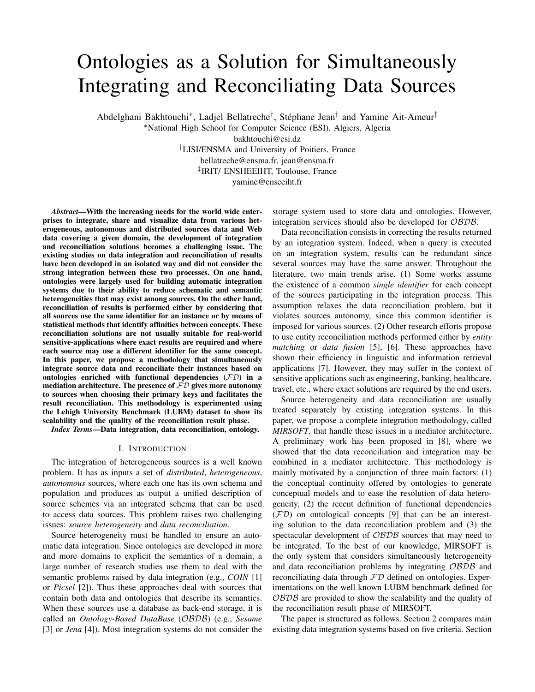# Ontologies as a Solution for Simultaneously Integrating and Reconciliating Data Sources

Abdelghani Bakhtouchi*∗* , Ladjel Bellatreche*†* , Stéphane Jean*†* and Yamine Ait-Ameur*‡*

*∗*National High School for Computer Science (ESI), Algiers, Algeria

bakhtouchi@esi.dz

*†*LISI/ENSMA and University of Poitiers, France bellatreche@ensma.fr, jean@ensma.fr *‡* IRIT/ ENSHEEIHT, Toulouse, France yamine@enseeiht.fr

*Abstract*—With the increasing needs for the world wide enterprises to integrate, share and visualize data from various heterogeneous, autonomous and distributed sources data and Web data covering a given domain, the development of integration and reconciliation solutions becomes a challenging issue. The existing studies on data integration and reconciliation of results have been developed in an isolated way and did not consider the strong integration between these two processes. On one hand, ontologies were largely used for building automatic integration systems due to their ability to reduce schematic and semantic heterogeneities that may exist among sources. On the other hand, reconciliation of results is performed either by considering that all sources use the same identifier for an instance or by means of statistical methods that identify affinities between concepts. These reconciliation solutions are not usually suitable for real-world sensitive-applications where exact results are required and where each source may use a different identifier for the same concept. In this paper, we propose a methodology that simultaneously integrate source data and reconciliate their instances based on ontologies enriched with functional dependencies (*FD*) in a mediation architecture. The presence of *FD* gives more autonomy to sources when choosing their primary keys and facilitates the result reconciliation. This methodology is experimented using the Lehigh University Benchmark (LUBM) dataset to show its scalability and the quality of the reconciliation result phase.

*Index Terms*—Data integration, data reconciliation, ontology.

## I. INTRODUCTION

The integration of heterogeneous sources is a well known problem. It has as inputs a set of *distributed*, *heterogeneous*, *autonomous* sources, where each one has its own schema and population and produces as output a unified description of source schemes via an integrated schema that can be used to access data sources. This problem raises two challenging issues: *source heterogeneity* and *data reconciliation*.

Source heterogeneity must be handled to ensure an automatic data integration. Since ontologies are developed in more and more domains to explicit the semantics of a domain, a large number of research studies use them to deal with the semantic problems raised by data integration (e.g., *COIN* [1] or *Picsel* [2]). Thus these approaches deal with sources that contain both data and ontologies that describe its semantics. When these sources use a database as back-end storage, it is called an *Ontology-Based DataBase* (*OBDB*) (e.g., *Sesame* [3] or *Jena* [4]). Most integration systems do not consider the

storage system used to store data and ontologies. However, integration services should also be developed for *OBDB*.

Data reconciliation consists in correcting the results returned by an integration system. Indeed, when a query is executed on an integration system, results can be redundant since several sources may have the same answer. Throughout the literature, two main trends arise. (1) Some works assume the existence of a common *single identifier* for each concept of the sources participating in the integration process. This assumption relaxes the data reconciliation problem, but it violates sources autonomy, since this common identifier is imposed for various sources. (2) Other research efforts propose to use entity reconciliation methods performed either by *entity matching* or *data fusion* [5], [6]. These approaches have shown their efficiency in linguistic and information retrieval applications [7]. However, they may suffer in the context of sensitive applications such as engineering, banking, healthcare, travel, etc., where exact solutions are required by the end users.

Source heterogeneity and data reconciliation are usually treated separately by existing integration systems. In this paper, we propose a complete integration methodology, called *MIRSOFT*, that handle these issues in a mediator architecture. A preliminary work has been proposed in [8], where we showed that the data reconciliation and integration may be combined in a mediator architecture. This methodology is mainly motivated by a conjunction of three main factors: (1) the conceptual continuity offered by ontologies to generate conceptual models and to ease the resolution of data heterogeneity, (2) the recent definition of functional dependencies (*FD*) on ontological concepts [9] that can be an interesting solution to the data reconciliation problem and (3) the spectacular development of *OBDB* sources that may need to be integrated. To the best of our knowledge, MIRSOFT is the only system that considers simultaneously heterogeneity and data reconciliation problems by integrating *OBDB* and reconciliating data through *FD* defined on ontologies. Experimentations on the well known LUBM benchmark defined for *OBDB* are provided to show the scalability and the quality of the reconciliation result phase of MIRSOFT.

The paper is structured as follows. Section 2 compares main existing data integration systems based on five criteria. Section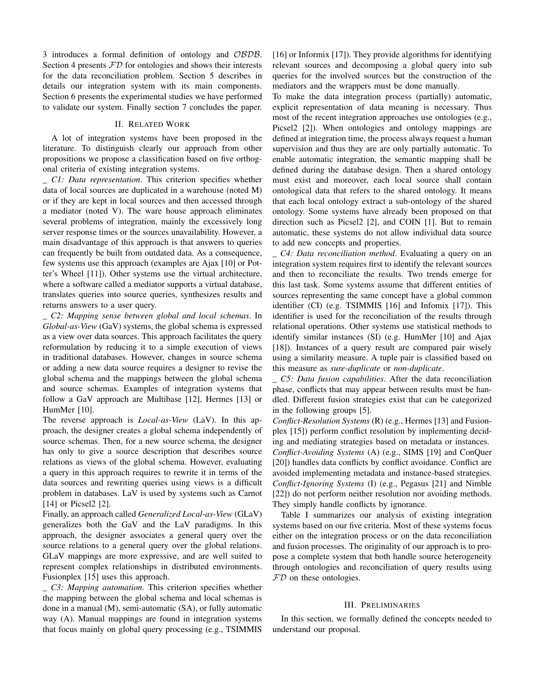3 introduces a formal definition of ontology and *OBDB*. Section 4 presents *FD* for ontologies and shows their interests for the data reconciliation problem. Section 5 describes in details our integration system with its main components. Section 6 presents the experimental studies we have performed to validate our system. Finally section 7 concludes the paper.

## II. RELATED WORK

A lot of integration systems have been proposed in the literature. To distinguish clearly our approach from other propositions we propose a classification based on five orthogonal criteria of existing integration systems.

\_ *C1: Data representation*. This criterion specifies whether data of local sources are duplicated in a warehouse (noted M) or if they are kept in local sources and then accessed through a mediator (noted V). The ware house approach eliminates several problems of integration, mainly the excessively long server response times or the sources unavailability. However, a main disadvantage of this approach is that answers to queries can frequently be built from outdated data. As a consequence, few systems use this approach (examples are Ajax [10] or Potter's Wheel [11]). Other systems use the virtual architecture, where a software called a mediator supports a virtual database, translates queries into source queries, synthesizes results and returns answers to a user query.

\_ *C2: Mapping sense between global and local schemas*. In *Global-as-View* (GaV) systems, the global schema is expressed as a view over data sources. This approach facilitates the query reformulation by reducing it to a simple execution of views in traditional databases. However, changes in source schema or adding a new data source requires a designer to revise the global schema and the mappings between the global schema and source schemas. Examples of integration systems that follow a GaV approach are Multibase [12], Hermes [13] or HumMer [10].

The reverse approach is *Local-as-View* (LaV). In this approach, the designer creates a global schema independently of source schemas. Then, for a new source schema, the designer has only to give a source description that describes source relations as views of the global schema. However, evaluating a query in this approach requires to rewrite it in terms of the data sources and rewriting queries using views is a difficult problem in databases. LaV is used by systems such as Carnot [14] or Picsel2 [2].

Finally, an approach called *Generalized Local-as-View* (GLaV) generalizes both the GaV and the LaV paradigms. In this approach, the designer associates a general query over the source relations to a general query over the global relations. GLaV mappings are more expressive, and are well suited to represent complex relationships in distributed environments. Fusionplex [15] uses this approach.

\_ *C3: Mapping automation*. This criterion specifies whether the mapping between the global schema and local schemas is done in a manual (M), semi-automatic (SA), or fully automatic way (A). Manual mappings are found in integration systems that focus mainly on global query processing (e.g., TSIMMIS

[16] or Informix [17]). They provide algorithms for identifying relevant sources and decomposing a global query into sub queries for the involved sources but the construction of the mediators and the wrappers must be done manually.

To make the data integration process (partially) automatic, explicit representation of data meaning is necessary. Thus most of the recent integration approaches use ontologies (e.g., Picsel2 [2]). When ontologies and ontology mappings are defined at integration time, the process always request a human supervision and thus they are are only partially automatic. To enable automatic integration, the semantic mapping shall be defined during the database design. Then a shared ontology must exist and moreover, each local source shall contain ontological data that refers to the shared ontology. It means that each local ontology extract a sub-ontology of the shared ontology. Some systems have already been proposed on that direction such as Picsel2 [2], and COIN [1]. But to remain automatic, these systems do not allow individual data source to add new concepts and properties.

\_ *C4: Data reconciliation method*. Evaluating a query on an integration system requires first to identify the relevant sources and then to reconciliate the results. Two trends emerge for this last task. Some systems assume that different entities of sources representing the same concept have a global common identifier (CI) (e.g. TSIMMIS [16] and Infomix [17]). This identifier is used for the reconciliation of the results through relational operations. Other systems use statistical methods to identify similar instances (SI) (e.g. HumMer [10] and Ajax [18]). Instances of a query result are compared pair wisely using a similarity measure. A tuple pair is classified based on this measure as *sure-duplicate* or *non-duplicate*.

\_ *C5: Data fusion capabilities*. After the data reconciliation phase, conflicts that may appear between results must be handled. Different fusion strategies exist that can be categorized in the following groups [5].

*Conflict-Resolution Systems* (R) (e.g., Hermes [13] and Fusionplex [15]) perform conflict resolution by implementing deciding and mediating strategies based on metadata or instances. *Conflict-Avoiding Systems* (A) (e.g., SIMS [19] and ConQuer [20]) handles data conflicts by conflict avoidance. Conflict are avoided implementing metadata and instance-based strategies. *Conflict-Ignoring Systems* (I) (e.g., Pegasus [21] and Nimble [22]) do not perform neither resolution nor avoiding methods. They simply handle conflicts by ignorance.

Table I summarizes our analysis of existing integration systems based on our five criteria. Most of these systems focus either on the integration process or on the data reconciliation and fusion processes. The originality of our approach is to propose a complete system that both handle source heterogeneity through ontologies and reconciliation of query results using *FD* on these ontologies.

# III. PRELIMINARIES

In this section, we formally defined the concepts needed to understand our proposal.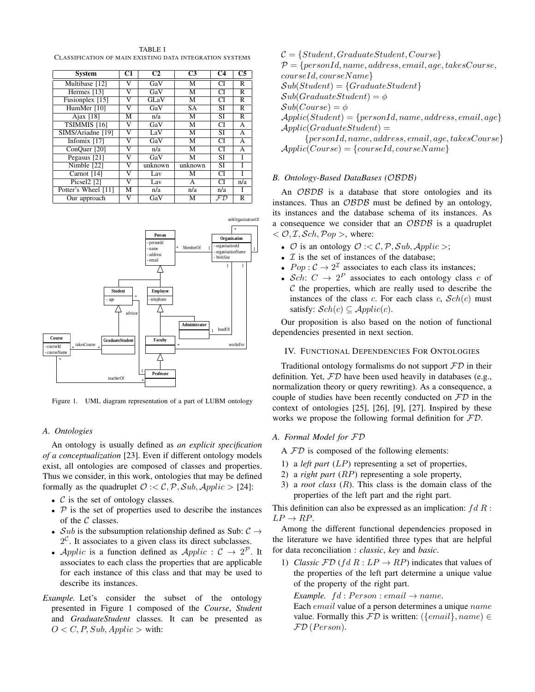TABLE I CLASSIFICATION OF MAIN EXISTING DATA INTEGRATION SYSTEMS

| <b>System</b>           | C1 | C <sub>2</sub> | C3        | C4                  | C5  |
|-------------------------|----|----------------|-----------|---------------------|-----|
| Multibase [12]          | V  | GaV            | М         | $\overline{\rm CI}$ | R   |
| Hermes [13]             | v  | GaV            | M         | $\overline{\rm CI}$ | R   |
| Fusionplex [15]         | v  | GLaV           | М         | СI                  | R   |
| HumMer <sup>[10]</sup>  | v  | GaV            | <b>SA</b> | <b>SI</b>           | R   |
| Ajax $[18]$             | М  | n/a            | M         | <b>SI</b>           | R   |
| TSIMMIS <sup>[16]</sup> | v  | GaV            | M         | $\overline{\rm CI}$ | А   |
| SIMS/Ariadne [19]       | v  | LaV            | М         | $\overline{\rm SI}$ | A   |
| Infomix $[17]$          | V  | GaV            | М         | $\overline{\rm CI}$ | A   |
| ConQuer [20]            | V  | n/a            | М         | СI                  | A   |
| Pegasus [21]            | v  | GaV            | М         | $\overline{\rm SI}$ |     |
| Nimble [22]             | V  | unknown        | unknown   | $\overline{\rm SI}$ |     |
| Carnot [14]             | V  | Lav            | М         | СI                  |     |
| Picsel <sub>2</sub> [2] | V  | Lav            | A         | СI                  | n/a |
| Potter's Wheel [11]     | М  | n/a            | n/a       | n/a                 |     |
| Our approach            | v  | GaV            | М         | .FD                 | R   |



Figure 1. UML diagram representation of a part of LUBM ontology

## *A. Ontologies*

An ontology is usually defined as *an explicit specification of a conceptualization* [23]. Even if different ontology models exist, all ontologies are composed of classes and properties. Thus we consider, in this work, ontologies that may be defined formally as the quadruplet  $\mathcal{O}$  : $\lt C$ ,  $\mathcal{P}$ ,  $\mathcal{S}ub$ ,  $\mathcal{A}pplic > [24]$ :

- *• C* is the set of ontology classes.
- *• P* is the set of properties used to describe the instances of the *C* classes.
- *• Sub* is the subsumption relationship defined as Sub: *C →*  $2^{\mathcal{C}}$ . It associates to a given class its direct subclasses.
- *Applic* is a function defined as  $Applic : C \rightarrow 2^{\mathcal{P}}$ . It associates to each class the properties that are applicable for each instance of this class and that may be used to describe its instances.
- *Example.* Let's consider the subset of the ontology presented in Figure 1 composed of the *Course*, *Student* and *GraduateStudent* classes. It can be presented as  $O < C$ , *P*, *Sub*, *Applic* > with:

*C* = *{Student, GraduateStudent, Course} P* = *{personId, name, address, email, age, takesCourse, courseId, courseN ame} Sub*(*Student*) = *{GraduateStudent}*  $Sub(GraduateStudent) = \phi$  $Sub(Course) = \phi$  $\mathcal{A}pplic(Student) = \{personId, name, address, email, age\}$ 

*Applic*(*GraduateStudent*) =

*{personId, name, address, email, age, takesCourse}*  $Applic(Course) = \{courseId, courseName\}$ 

# *B. Ontology-Based DataBases (OBDB)*

An *OBDB* is a database that store ontologies and its instances. Thus an *OBDB* must be defined by an ontology, its instances and the database schema of its instances. As a consequence we consider that an *OBDB* is a quadruplet  $<$  *O*, *I*, *Sch*, *Pop* >, where:

- $\mathcal{O}$  is an ontology  $\mathcal{O}$  : $\lt C$ ,  $\mathcal{P}$ ,  $\mathcal{S}ub$ ,  $\mathcal{A}pplic$  >;
- *I* is the set of instances of the database;
- $Pop: \mathcal{C} \to 2^{\mathcal{I}}$  associates to each class its instances;
- *Sch*:  $C \rightarrow 2^P$  associates to each ontology class *c* of *C* the properties, which are really used to describe the instances of the class  $c$ . For each class  $c$ ,  $\mathcal{S}ch(c)$  must satisfy:  $\mathcal{S}ch(c) \subseteq \mathcal{A}pplic(c)$ .

Our proposition is also based on the notion of functional dependencies presented in next section.

# IV. FUNCTIONAL DEPENDENCIES FOR ONTOLOGIES

Traditional ontology formalisms do not support *FD* in their definition. Yet, *FD* have been used heavily in databases (e.g., normalization theory or query rewriting). As a consequence, a couple of studies have been recently conducted on *FD* in the context of ontologies [25], [26], [9], [27]. Inspired by these works we propose the following formal definition for *FD*.

# *A. Formal Model for FD*

A *FD* is composed of the following elements:

- 1) a *left part* (*LP*) representing a set of properties,
- 2) a *right part* (*RP*) representing a sole property,
- 3) a *root class* (*R*). This class is the domain class of the properties of the left part and the right part.

This definition can also be expressed as an implication: *f d R* :  $LP \rightarrow RP$ .

Among the different functional dependencies proposed in the literature we have identified three types that are helpful for data reconciliation : *classic*, *key* and *basic*.

1) *Classic*  $FD$  ( $fd$   $R: LP \rightarrow RP$ ) indicates that values of the properties of the left part determine a unique value of the property of the right part.

*Example.*  $fd: Person: email \rightarrow name$ .

Each *email* value of a person determines a unique *name* value. Formally this *FD* is written: (*{email}, name*) *∈ FD* (*P erson*).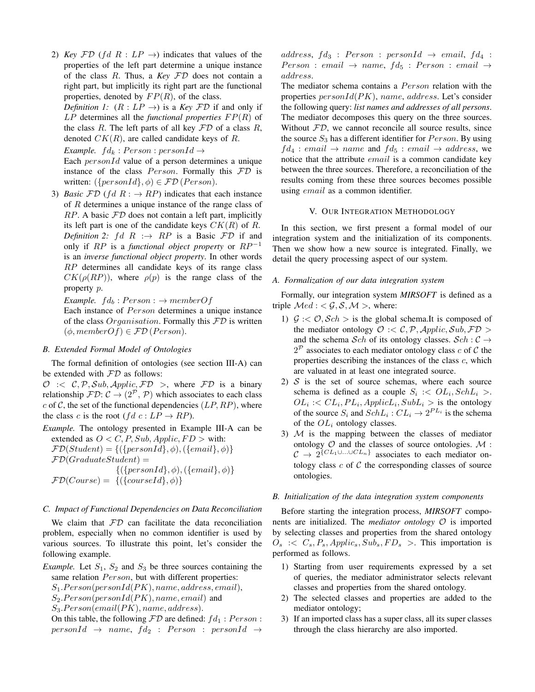2) *Key*  $FD$  (*fd R* :  $LP \rightarrow$ ) indicates that values of the properties of the left part determine a unique instance of the class *R*. Thus, a *Key FD* does not contain a right part, but implicitly its right part are the functional properties, denoted by  $FP(R)$ , of the class.

*Definition 1:*  $(R: LP \rightarrow)$  is a *Key*  $FD$  if and only if *LP* determines all the *functional properties F P*(*R*) of the class *R*. The left parts of all key *FD* of a class *R*, denoted *CK*(*R*), are called candidate keys of *R*.

*Example.*  $fd_k$  :  $Person$  :  $personId \rightarrow$ 

Each *personId* value of a person determines a unique instance of the class *Person*. Formally this  $\mathcal{FD}$  is written:  $({\{personId\}}, \phi) \in FD({\text{Person}}).$ 

3) *Basic FD* (*fd R* :  $\rightarrow$  *RP*) indicates that each instance of *R* determines a unique instance of the range class of *RP*. A basic *FD* does not contain a left part, implicitly its left part is one of the candidate keys *CK*(*R*) of *R*. *Definition 2:*  $fd \, R \rightarrow RP$  is a Basic  $FD$  if and only if *RP* is a *functional object property* or *RP*<sup>−1</sup> is an *inverse functional object property*. In other words *RP* determines all candidate keys of its range class  $CK(\rho(RP))$ , where  $\rho(p)$  is the range class of the property *p*.

*Example.*  $fd_b: Person: \rightarrow memberOf$ 

Each instance of *Person* determines a unique instance of the class *Organisation*. Formally this *FD* is written  $(\phi, memberOf) \in FD$  (*Person*).

## *B. Extended Formal Model of Ontologies*

The formal definition of ontologies (see section III-A) can be extended with *FD* as follows:

 $O \leq C$ ,  $P$ ,  $Sub$ ,  $Applic$ ,  $FD \geq$ , where  $FD$  is a binary relationship  $FD: C \rightarrow (2^P, P)$  which associates to each class  $c$  of  $C$ , the set of the functional dependencies  $(LP, RP)$ , where the class *c* is the root (*f d c* :  $LP \rightarrow RP$ ).

*Example.* The ontology presented in Example III-A can be extended as  $O < C$ , P, Sub, Applic, FD > with:

 $FD(Student) = \{ (\{personId\}, \phi), (\{email\}, \phi) \}$ *FD*(*GraduateStudent*) = *{*(*{personId}, ϕ*)*,*(*{email}, ϕ*)*}*  $\mathcal{FD}(Course) = \{ (\{courseId\}, \phi) \}$ 

## *C. Impact of Functional Dependencies on Data Reconciliation*

We claim that *FD* can facilitate the data reconciliation problem, especially when no common identifier is used by various sources. To illustrate this point, let's consider the following example.

*Example.* Let  $S_1$ ,  $S_2$  and  $S_3$  be three sources containing the same relation *Person*, but with different properties: *S*1*.P erson*(*personId*(*PK*)*, name, address, email*), *S*2*.P erson*(*personId*(*PK*)*, name, email*) and *S*3*.P erson*(*email*(*PK*)*, name, address*). On this table, the following  $FD$  are defined:  $fd_1$ :  $Person$ :

 $personId \rightarrow name, fd_2 : Person : personId \rightarrow$ 

 $address, fd_3: Person: personald \rightarrow email, fd_4:$  $Person: email \rightarrow name, fd_5: Person: email \rightarrow$ *address*.

The mediator schema contains a *Person* relation with the properties *personId*(*PK*), *name*, *address*. Let's consider the following query: *list names and addresses of all persons*. The mediator decomposes this query on the three sources. Without *FD*, we cannot reconcile all source results, since the source  $S_3$  has a different identifier for *Person*. By using  $fd_4: email \rightarrow name \text{ and } fd_5: email \rightarrow address, we$ notice that the attribute *email* is a common candidate key between the three sources. Therefore, a reconciliation of the results coming from these three sources becomes possible using *email* as a common identifier.

## V. OUR INTEGRATION METHODOLOGY

In this section, we first present a formal model of our integration system and the initialization of its components. Then we show how a new source is integrated. Finally, we detail the query processing aspect of our system.

## *A. Formalization of our data integration system*

Formally, our integration system *MIRSOFT* is defined as a triple  $Med: < \mathcal{G}, \mathcal{S}, \mathcal{M} >$ , where:

- 1)  $G \leq O$ ,  $Sch$  is the global schema.It is composed of the mediator ontology  $\mathcal{O} \times \mathcal{C}, \mathcal{P}, \mathcal{A} \text{pplier}, \mathcal{S} \text{ub}, \mathcal{F} \mathcal{D} >$ and the schema *Sch* of its ontology classes. *Sch* : *C →* 2 *<sup>P</sup>* associates to each mediator ontology class *c* of *C* the properties describing the instances of the class *c*, which are valuated in at least one integrated source.
- 2) *S* is the set of source schemas, where each source schema is defined as a couple  $S_i$  :  $\langle OL_i, SchL_i \rangle$ .  $OL_i$  : $\langle CL_i, PL_i, ApplicL_i, SubL_i \rangle$  is the ontology of the source  $S_i$  and  $SchL_i: CL_i \rightarrow 2^{PL_i}$  is the schema of the *OL<sup>i</sup>* ontology classes.
- 3) *M* is the mapping between the classes of mediator ontology *O* and the classes of source ontologies. *M* :  $C \rightarrow 2^{\{CL_1 \cup ... \cup CL_n\}}$  associates to each mediator ontology class  $c$  of  $C$  the corresponding classes of source ontologies.

#### *B. Initialization of the data integration system components*

Before starting the integration process, *MIRSOFT* components are initialized. The *mediator ontology O* is imported by selecting classes and properties from the shared ontology  $O_s$  :<  $C_s$ ,  $P_s$ ,  $Applic_s$ ,  $Sub_s$ ,  $FD_s$  >. This importation is performed as follows.

- 1) Starting from user requirements expressed by a set of queries, the mediator administrator selects relevant classes and properties from the shared ontology.
- 2) The selected classes and properties are added to the mediator ontology;
- 3) If an imported class has a super class, all its super classes through the class hierarchy are also imported.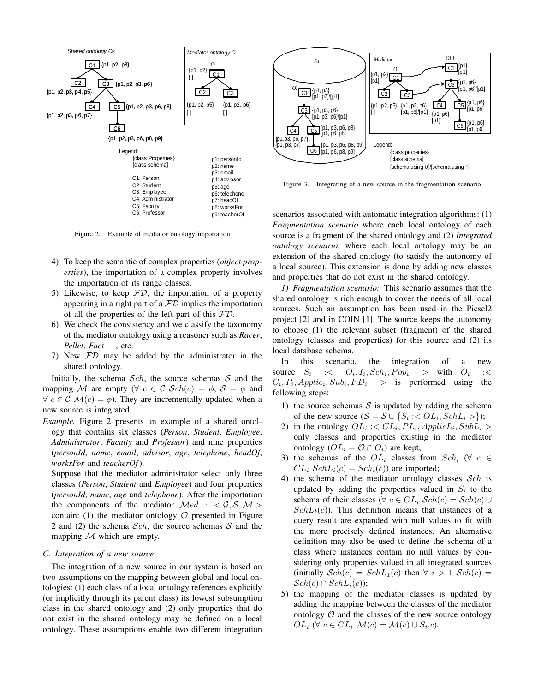

Figure 2. Example of mediator ontology importation

- 4) To keep the semantic of complex properties (*object properties*), the importation of a complex property involves the importation of its range classes.
- 5) Likewise, to keep *FD*, the importation of a property appearing in a right part of a *FD* implies the importation of all the properties of the left part of this *FD*.
- 6) We check the consistency and we classify the taxonomy of the mediator ontology using a reasoner such as *Racer*, *Pellet*, *Fact++*, etc.
- 7) New *FD* may be added by the administrator in the shared ontology.

Initially, the schema  $\mathcal{S}ch$ , the source schemas  $\mathcal S$  and the mapping *M* are empty ( $\forall$  *c*  $\in$  *C*  $Sch(c) = \phi$ ,  $S = \phi$  and *∀*  $c \in \mathcal{C}$  *M*( $c$ ) =  $\phi$ ). They are incrementally updated when a new source is integrated.

*Example.* Figure 2 presents an example of a shared ontology that contains six classes (*Person*, *Student*, *Employee*, *Administrator*, *Faculty* and *Professor*) and nine properties (*personId*, *name*, *email*, *advisor*, *age*, *telephone*, *headOf*, *worksFor* and *teacherOf*).

Suppose that the mediator administrator select only three classes (*Person*, *Student* and *Employee*) and four properties (*personId*, *name*, *age* and *telephone*). After the importation the components of the mediator  $Med$  :  $\lt G$ ,  $S$ ,  $M$ contain: (1) the mediator ontology  $O$  presented in Figure 2 and (2) the schema *Sch*, the source schemas *S* and the mapping *M* which are empty.

## *C. Integration of a new source*

The integration of a new source in our system is based on two assumptions on the mapping between global and local ontologies: (1) each class of a local ontology references explicitly (or implicitly through its parent class) its lowest subsumption class in the shared ontology and (2) only properties that do not exist in the shared ontology may be defined on a local ontology. These assumptions enable two different integration



Figure 3. Integrating of a new source in the fragmentation scenario

scenarios associated with automatic integration algorithms: (1) *Fragmentation scenario* where each local ontology of each source is a fragment of the shared ontology and (2) *Integrated ontology scenario*, where each local ontology may be an extension of the shared ontology (to satisfy the autonomy of a local source). This extension is done by adding new classes and properties that do not exist in the shared ontology.

*1) Fragmentation scenario:* This scenario assumes that the shared ontology is rich enough to cover the needs of all local sources. Such an assumption has been used in the Picsel2 project [2] and in COIN [1]. The source keeps the autonomy to choose (1) the relevant subset (fragment) of the shared ontology (classes and properties) for this source and (2) its local database schema.

In this scenario, the integration of a new source *S<sup>i</sup>* :*< O<sup>i</sup>*  $I_i$ ,  $Sch_i$ ,  $Pop_i$  > with  $O_i$ :*<*  $C_i$ ,  $P_i$ ,  $Applic_i$ ,  $Sub_i$ ,  $FD_i$  > is performed using the following steps:

- 1) the source schemas  $S$  is updated by adding the schema of the new source  $(S = S \cup \{S_i : \langle OL_i, SchL_i \rangle\})$ ;
- 2) in the ontology  $OL_i: < CL_i, PL_i, ApplicL_i, SubL_i >$ only classes and properties existing in the mediator ontology  $(OL_i = O \cap O_i)$  are kept;
- 3) the schemas of the  $OL_i$  classes from  $Sch_i$  ( $\forall$  *c*  $\in$  $CL_i$   $SchL_i(c) = Sch_i(c)$  are imported;
- 4) the schema of the mediator ontology classes *Sch* is updated by adding the properties valued in  $S_i$  to the schema of their classes ( $\forall$   $c \in CL_i$   $Sch(c) = Sch(c) \cup$  $SchLi(c)$ ). This definition means that instances of a query result are expanded with null values to fit with the more precisely defined instances. An alternative definition may also be used to define the schema of a class where instances contain no null values by considering only properties valued in all integrated sources (initially  $\mathcal{S}ch(c) = SchL_1(c)$  then  $\forall i > 1$   $\mathcal{S}ch(c) =$  $Sch(c) \cap SchL_i(c)$ ;
- 5) the mapping of the mediator classes is updated by adding the mapping between the classes of the mediator ontology *O* and the classes of the new source ontology  $OL_i$  ( $\forall$   $c \in CL_i$   $\mathcal{M}(c) = \mathcal{M}(c) \cup S_i.c$ ).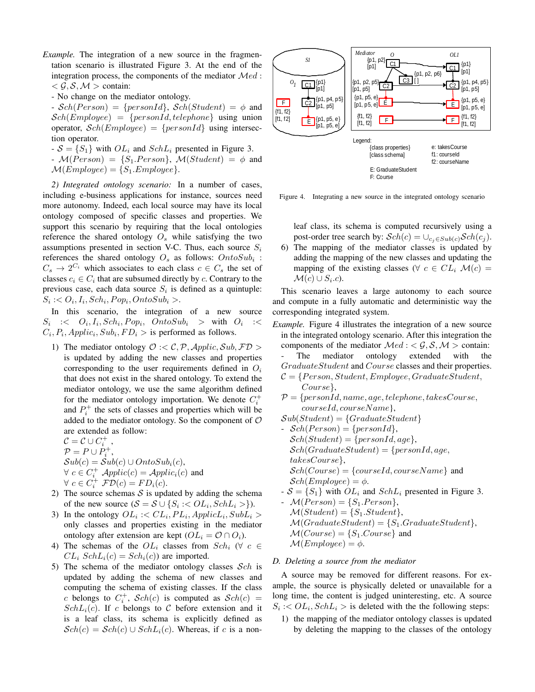- *Example*. The integration of a new source in the fragmentation scenario is illustrated Figure 3. At the end of the integration process, the components of the mediator *Med* :  $<$  *G, S, M*  $>$  contain:
	- No change on the mediator ontology.

 $-Sch(Person) = {personId}$ ,  $Sch(Student) = \phi$  and  $Sch(Employee) = {personId, telephone}$  using union operator, *Sch*(*Employee*) = *{personId}* using intersection operator.

- $-S = \{S_1\}$  with  $OL_i$  and  $SchL_i$  presented in Figure 3.
- $-M(Person) = \{S_1, Person\}$ ,  $M(Student) = \phi$  and  $M(Employee) = \{S_1, Employee\}.$

*2) Integrated ontology scenario:* In a number of cases, including e-business applications for instance, sources need more autonomy. Indeed, each local source may have its local ontology composed of specific classes and properties. We support this scenario by requiring that the local ontologies reference the shared ontology  $O_s$  while satisfying the two assumptions presented in section V-C. Thus, each source *S<sup>i</sup>* references the shared ontology *O<sup>s</sup>* as follows: *OntoSub<sup>i</sup>* :  $C_s \rightarrow 2^{C_i}$  which associates to each class  $c \in C_s$  the set of classes  $c_i \in C_i$  that are subsumed directly by *c*. Contrary to the previous case, each data source *S<sup>i</sup>* is defined as a quintuple:  $S_i$  : $\langle O_i, I_i, Sch_i, Pop_i, OntoSub_i \rangle$ .

In this scenario, the integration of a new source  $S_i$  :<  $O_i$ ,  $I_i$ ,  $Sch_i$ ,  $Pop_i$ ,  $OntoSub_i$  > with  $O_i$ :*<*  $C_i$ ,  $P_i$ ,  $Applic_i$ ,  $Sub_i$ ,  $FD_i$   $>$  is performed as follows.

- 1) The mediator ontology  $\mathcal{O} \times \mathcal{C}$ ,  $\mathcal{P}$ ,  $\mathcal{A} \text{polic}, \mathcal{S} \text{ub}, \mathcal{F} \mathcal{D}$ is updated by adding the new classes and properties corresponding to the user requirements defined in *O<sup>i</sup>* that does not exist in the shared ontology. To extend the mediator ontology, we use the same algorithm defined for the mediator ontology importation. We denote  $C_i^+$ and  $P_i^+$  the sets of classes and properties which will be added to the mediator ontology. So the component of *O* are extended as follow:
	- $\mathcal{C} = \mathcal{C} \cup C^+_{i}$ ,

$$
\mathcal{P} = P \cup P_i^+,
$$

$$
Sub(c) = Sub(c) \cup OntoSub_i(c),
$$

 $\forall$  *c*  $\in C_i^+$  *Applic*(*c*) = *Applic*<sub>*i*</sub>(*c*) and

$$
\forall c \in C_i^+ \text{FD}(c) = FD_i(c).
$$

- 2) The source schemas  $S$  is updated by adding the schema of the new source  $(S = S \cup \{S_i : \langle OL_i, SchL_i \rangle\}).$
- 3) In the ontology  $OL_i: < CL_i, PL_i, ApplicL_i, SubL_i >$ only classes and properties existing in the mediator ontology after extension are kept  $(OL_i = O \cap O_i)$ .
- 4) The schemas of the  $OL_i$  classes from  $Sch_i$  ( $\forall$  *c*  $\in$  $CL_i$   $SchL_i(c) = Sch_i(c)$  are imported.
- 5) The schema of the mediator ontology classes *Sch* is updated by adding the schema of new classes and computing the schema of existing classes. If the class *c* belongs to  $C_i^+$ ,  $Sch(c)$  is computed as  $Sch(c)$  =  $SchL<sub>i</sub>(c)$ . If *c* belongs to *C* before extension and it is a leaf class, its schema is explicitly defined as  $Sch(c) = Sch(c) \cup SchL<sub>i</sub>(c)$ . Whereas, if *c* is a non-



Figure 4. Integrating a new source in the integrated ontology scenario

leaf class, its schema is computed recursively using a post-order tree search by:  $\mathcal{S}ch(c) = \bigcup_{c_i \in Sub(c)} \mathcal{S}ch(c_j)$ .

6) The mapping of the mediator classes is updated by adding the mapping of the new classes and updating the mapping of the existing classes ( $\forall$  *c*  $\in$  *CL*<sub>*i*</sub>  $\mathcal{M}(c)$  =  $\mathcal{M}(c) \cup S_i.c$ ).

This scenario leaves a large autonomy to each source and compute in a fully automatic and deterministic way the corresponding integrated system.

*Example.* Figure 4 illustrates the integration of a new source in the integrated ontology scenario. After this integration the components of the mediator  $Med: \langle G, S, M \rangle$  contain:

The mediator ontology extended with the *GraduateStudent* and *Course* classes and their properties.

- *C* = *{P erson, Student, Employee, GraduateStudent, Course}*,
- *P* = *{personId, name, age, telephone, takesCourse, courseId, courseN ame*},
- *Sub*(*Student*) = *{GraduateStudent}*
- $-Sch(Person) = {personId},$  $Sch(Student) = {personId, age}$ *Sch*(*GraduateStudent*) = *{personId, age, takesCourse}*,  $Sch(Course) = \{courseId, courseName\}$  and  $Sch(Em\nu) = \phi$ .  $-S = \{S_1\}$  with  $OL_i$  and  $SchL_i$  presented in Figure 3. -  $M(Person) = \{S_1.Person\}$ ,  $M(Student) = \{S_1 \ldots Student\},\}$ 
	- $M(GraduateStudent) = {S_1.GraduateStudent}$  $M(Course) = \{S_1.Course\}$  and
	- $\mathcal{M}(Employee) = \phi.$

# *D. Deleting a source from the mediator*

A source may be removed for different reasons. For example, the source is physically deleted or unavailable for a long time, the content is judged uninteresting, etc. A source  $S_i$  : <  $OL_i$ ,  $SchL_i$  > is deleted with the the following steps:

1) the mapping of the mediator ontology classes is updated by deleting the mapping to the classes of the ontology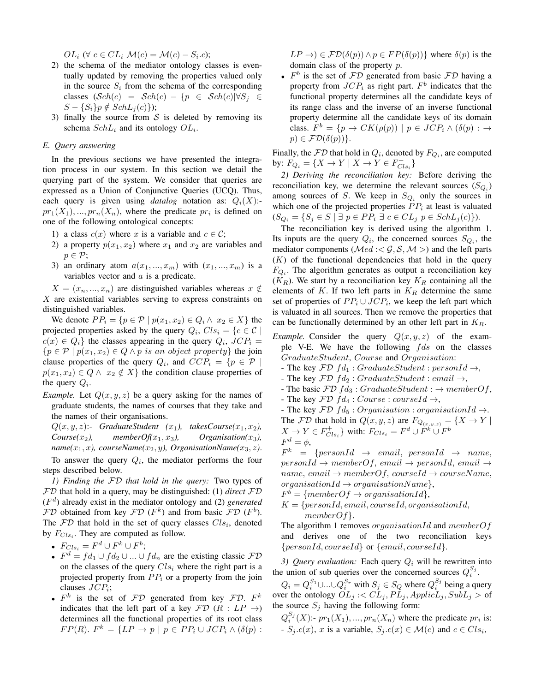$OL_i$  ( $\forall$   $c \in CL_i$   $\mathcal{M}(c) = \mathcal{M}(c) - S_i.c$ );

- 2) the schema of the mediator ontology classes is eventually updated by removing the properties valued only in the source  $S_i$  from the schema of the corresponding classes  $(\mathcal{S}ch(c) = \mathcal{S}ch(c) - \{p \in \mathcal{S}ch(c)|\forall S_j \in$ *S* − { $S_i$ } $p \notin SchL_j(c)$ });
- 3) finally the source from  $S$  is deleted by removing its schema *SchL<sup>i</sup>* and its ontology *OL<sup>i</sup>* .

## *E. Query answering*

In the previous sections we have presented the integration process in our system. In this section we detail the querying part of the system. We consider that queries are expressed as a Union of Conjunctive Queries (UCQ). Thus, each query is given using *datalog* notation as:  $Q_i(X)$ : $pr_1(X_1), ..., pr_n(X_n)$ , where the predicate  $pr_i$  is defined on one of the following ontological concepts:

- 1) a class  $c(x)$  where *x* is a variable and  $c \in \mathcal{C}$ ;
- 2) a property  $p(x_1, x_2)$  where  $x_1$  and  $x_2$  are variables and *p ∈ P*;
- 3) an ordinary atom  $a(x_1, ..., x_m)$  with  $(x_1, ..., x_m)$  is a variables vector and *a* is a predicate.

 $X = (x_n, ..., x_n)$  are distinguished variables whereas  $x \notin Y$ *X* are existential variables serving to express constraints on distinguished variables.

We denote  $PP_i = \{p \in \mathcal{P} \mid p(x_1, x_2) \in Q_i \land x_2 \in X\}$  the projected properties asked by the query  $Q_i$ ,  $Cls_i = \{c \in C \mid$  $c(x) \in Q_i$  the classes appearing in the query  $Q_i$ ,  $JCP_i$  = *{p* ∈ *P | p*(*x*<sub>1</sub>*, x*<sub>2</sub>) ∈ *Q*  $\land$  *p is an object property*} the join clause properties of the query  $Q_i$ , and  $CCP_i = \{p \in \mathcal{P} \mid \mathcal{P} \mid \mathcal{P} \mid \mathcal{P} \mid \mathcal{P} \mid \mathcal{P} \mid \mathcal{P} \mid \mathcal{P} \mid \mathcal{P} \mid \mathcal{P} \mid \mathcal{P} \mid \mathcal{P} \mid \mathcal{P} \mid \mathcal{P} \mid \mathcal{P} \mid \mathcal{P} \mid \mathcal{P} \mid \mathcal{P} \mid \mathcal{P} \mid \mathcal{P} \mid \mathcal{P} \mid \math$  $p(x_1, x_2) \in Q \land x_2 \notin X$  the condition clause properties of the query *Q<sup>i</sup>* .

*Example.* Let  $Q(x, y, z)$  be a query asking for the names of graduate students, the names of courses that they take and the names of their organisations.

 $Q(x, y, z)$ :- *GraduateStudent*  $(x_1)$ *, takesCourse* $(x_1, x_2)$ *, Course*( $x_2$ ), memberOf( $x_1, x_3$ ), Organisation( $x_3$ ), *name*( $x_1$ ,  $x$ ), *courseName*( $x_2$ ,  $y$ ), *OrganisationName*( $x_3$ ,  $z$ ).

To answer the query *Q<sup>i</sup>* , the mediator performs the four steps described below.

*1) Finding the FD that hold in the query:* Two types of *FD* that hold in a query, may be distinguished: (1) *direct FD* (*F d* ) already exist in the mediator ontology and (2) *generated FD* obtained from key *FD* ( $F^k$ ) and from basic *FD* ( $F^b$ ). The *FD* that hold in the set of query classes *Cls<sup>i</sup>* , denoted by  $F_{Cls_i}$ . They are computed as follow.

•  $F_{Cls_i} = F^d \cup F^k \cup F^b;$ 

- $F^d = fd_1 \cup fd_2 \cup ... \cup fd_n$  are the existing classic  $\mathcal{FD}$ on the classes of the query *Cls<sup>i</sup>* where the right part is a projected property from  $PP_i$  or a property from the join clauses *JCP<sup>i</sup>* ;
- *• F k* is the set of *FD* generated from key *FD*. *F k* indicates that the left part of a key  $\mathcal{FD}(R: LP \rightarrow)$ determines all the functional properties of its root class  $FP(R)$ .  $F^k = \{LP \rightarrow p \mid p \in PP_i \cup JCP_i \land (\delta(p))\}$

 $LP \rightarrow$ )  $\in FD(\delta(p)) \land p \in FP(\delta(p))$ } where  $\delta(p)$  is the domain class of the property *p*.

*• F b* is the set of *FD* generated from basic *FD* having a property from  $JCP_i$  as right part.  $F^b$  indicates that the functional property determines all the candidate keys of its range class and the inverse of an inverse functional property determine all the candidate keys of its domain class.  $F^b = \{p \to CK(\rho(p)) \mid p \in JCP_i \land (\delta(p) : \rightarrow$  $p) \in \mathcal{FD}(\delta(p))$ .

Finally, the  $FD$  that hold in  $Q_i$ , denoted by  $F_{Q_i}$ , are computed by:  $F_{Q_i} = \{ X \to Y \mid X \to Y \in F_{Cls_i}^+ \}$ 

*2) Deriving the reconciliation key:* Before deriving the reconciliation key, we determine the relevant sources (*S<sup>Q</sup><sup>i</sup>* ) among sources of *S*. We keep in  $S_{Q_i}$  only the sources in which one of the projected properties *P P<sup>i</sup>* at least is valuated  $(S_{Q_i} = \{S_i \in S \mid \exists p \in PP_i \exists c \in CL_j p \in SchL_i(c)\}).$ 

The reconciliation key is derived using the algorithm 1. Its inputs are the query  $Q_i$ , the concerned sources  $S_{Q_i}$ , the mediator components ( $\mathcal{M}ed: \langle \mathcal{G}, \mathcal{S}, \mathcal{M} \rangle$ ) and the left parts (*K*) of the functional dependencies that hold in the query  $F_{Q_i}$ . The algorithm generates as output a reconciliation key  $(K_R)$ . We start by a reconciliation key  $K_R$  containing all the elements of  $K$ . If two left parts in  $K_R$  determine the same set of properties of  $PP_i \cup JCP_i$ , we keep the left part which is valuated in all sources. Then we remove the properties that can be functionally determined by an other left part in *KR*.

- *Example.* Consider the query  $Q(x, y, z)$  of the example V-E. We have the following *f ds* on the classes *GraduateStudent*, *Course* and *Organisation*:
	- The key  $\mathcal{FD} f d_1 : GraduateStudent : personal \rightarrow$ ,
	- The key  $\mathcal{FD} f d_2 : GraduateStudent : email \rightarrow$ ,
	- The basic  $FD \, fd_3 : GraduateStudent : \rightarrow memberOf,$
	- The key  $\mathcal{FD} fd_4 : Course : courseId \rightarrow$ ,
	- The key  $FD \, fd_5 : Organisation : organisationId \rightarrow$ . The *FD* that hold in  $Q(x, y, z)$  are  $F_{Q(x, y, z)} = \{X \rightarrow Y \mid$  $X \to Y \in F_{Cls_i}^+$  with:  $F_{Cls_i} = F^d \cup F^k \cup F^b$

$$
Fd = \phi,
$$
  
\n
$$
Fk = {personId \rightarrow email, personId \rightarrow name,}
$$
  
\n
$$
personId \rightarrow memberOf, email \rightarrow personId, email \rightarrow
$$
  
\n
$$
name\{ email \rightarrow memberOf, courseId \rightarrow courseName,
$$

 $name, email \rightarrow memberOf, courseId \rightarrow courseName,$  $or qanisationId \rightarrow organizationName\},\$ 

- $F^b = \{memberOf \rightarrow organisationId \},\$
- $K = \{personId, email, courseId, organizationId,$ *memberOf}*.

The algorithm 1 removes *organisationId* and *memberOf* and derives one of the two reconciliation keys *{personId, courseId}* or *{email, courseId}*.

*3) Query evaluation:* Each query *Q<sup>i</sup>* will be rewritten into the union of sub queries over the concerned sources  $Q_i^{S_j}$ .

 $Q_i = Q_i^{S_1} \cup ... \cup Q_i^{S_r}$  with  $S_j \in S_Q$  where  $Q_i^{S_j}$  being a query over the ontology  $OL_j$  : $\langle CL_j, PL_j, ApplicL_j, SubL_j \rangle$  of the source  $S_j$  having the following form:

 $Q_i^{S_j}(X)$ :-  $pr_1(X_1), ..., pr_n(X_n)$  where the predicate  $pr_i$  is:  $S_j$  *.c*(*x*), *x* is a variable,  $S_j$  *.c*(*x*)  $\in$  *M*(*c*) and  $c \in Cls_i$ ,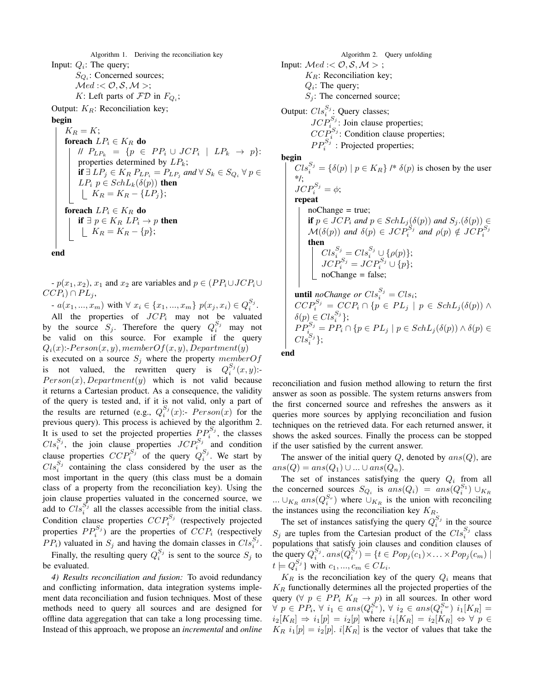Algorithm 1. Deriving the reconciliation key Input:  $Q_i$ : The query; *S<sup>Q</sup><sup>i</sup>* : Concerned sources; *Med* :*< O, S,M >*; *K*: Left parts of  $FD$  in  $F_{Q_i}$ ; Output: *KR*: Reconciliation key;

## begin

$$
K_R = K;
$$
  
\n**for each**  $LP_i \in K_R$  **do**  
\n
$$
\begin{array}{rcl}\n\mid I & P_{LP_k} = \{p \in PP_i \cup JCP_i \mid LP_k \rightarrow p\}; \\
\text{properties determined by } LP_k; \\
\text{if } \exists LP_j \in K_R \ P_{LP_i} = P_{LP_j} \text{ and } \forall S_k \in S_{Q_i} \ \forall p \in
$$
\n
$$
LP_i \ p \in SchL_k(\delta(p)) \text{ then}
$$
\n
$$
\begin{array}{rcl}\n\mid I & K_R = K_R - \{LP_j\}; \\
\text{for each} \ LP_i \in K_R \text{ do} \\
\text{if } \exists p \in K_R \ LP_i \rightarrow p \text{ then} \\
\mid I & K_R = K_R - \{p\};\n\end{array}
$$

end

-  $p(x_1, x_2)$ ,  $x_1$  and  $x_2$  are variables and  $p \in (PP_i \cup JCP_i \cup$  $CCP_i) \cap PL_j$ 

*a*(*x*<sub>1</sub>*, ..., <i>x<sub>m</sub>*) with ∀ *x*<sub>i</sub> ∈ {*x*<sub>1</sub>*, ..., <i>x<sub>m</sub>*} *p*(*x*<sub>j</sub>*, x*<sub>i</sub>) ∈  $Q_i^{S_j}$ .

All the properties of *JCP<sup>i</sup>* may not be valuated by the source  $S_j$ . Therefore the query  $Q_i^{S_j}$  may not be valid on this source. For example if the query  $Q_i(x)$ :- $Person(x, y)$ *, member* $Of(x, y)$ *, Department* $(y)$ is executed on a source  $S_j$  where the property *memberOf* 

is not valued, the rewritten query is  $Q_i^{S_j}(x, y)$ :- $Person(x)$ ,  $Department(y)$  which is not valid because it returns a Cartesian product. As a consequence, the validity of the query is tested and, if it is not valid, only a part of the results are returned (e.g.,  $Q_i^{S_j}(x)$ : *Person*(*x*) for the previous query). This process is achieved by the algorithm 2. It is used to set the projected properties  $PP_i^{S_j}$ , the classes  $Cls_i^{S_j}$ , the join clause properties  $JCP_i^{S_j}$  and condition clause properties  $CCP_i^{S_j}$  of the query  $Q_i^{S_j}$ . We start by  $\frac{C l s_i^{S_j}}{S_j}$  containing the class considered by the user as the most important in the query (this class must be a domain class of a property from the reconciliation key). Using the join clause properties valuated in the concerned source, we add to  $Cls_i^{S_j}$  all the classes accessible from the initial class. Condition clause properties  $CCP_i^{S_j}$  (respectively projected properties  $PP_i^{S_j}$  are the properties of  $CCP_i$  (respectively *PP*<sup>*i*</sup>) valuated in  $S_j$  and having the domain classes in  $Cls_i^{S_j}$ .

Finally, the resulting query  $Q_i^{S_j}$  is sent to the source  $S_j$  to be evaluated.

*4) Results reconciliation and fusion:* To avoid redundancy and conflicting information, data integration systems implement data reconciliation and fusion techniques. Most of these methods need to query all sources and are designed for offline data aggregation that can take a long processing time. Instead of this approach, we propose an *incremental* and *online*

Algorithm 2. Query unfolding Input:  $Med := \mathcal{O}, \mathcal{S}, \mathcal{M} >$ ; *KR*: Reconciliation key; *Qi* : The query;  $S_j$ : The concerned source; Output:  $Cls_i^{S_j}$ : Query classes;  $JCP^{S_j}_{i}$ : Join clause properties;  $CCP_{\alpha}^{S_j}$ : Condition clause properties;  $PP_i^{S_j}$ : Projected properties; begin  $Cls_i^{S_j} = {\delta(p) | p \in K_R}$  /\*  $\delta(p)$  is chosen by the user \*/;  $JCP_i^{S_j} = \phi;$ repeat noChange = true; **if**  $p \in JCP_i$  and  $p \in SchL_j(\delta(p))$  and  $S_j.(\delta(p)) \in$  $\mathcal{M}(\delta(p))$  and  $\delta(p) \in JCP_i^{S_j}$  and  $\rho(p) \notin JCP_i^{S_j}$ then  $Cls_i^{S_j} = Cls_i^{S_j} \cup {}_{G} \{\rho(p)\};$  $JCP_i^{S_j} = JCP_i^{S_j} \cup \{p\};$ noChange = false; **until** noChange or  $Cls_i^{S_j} = Cls_i;$  $i^{5j} = Cls_i$  $CCP_i^{S_j} = CCP_i \cap \{p \in PL_j \mid p \in SchL_j(\delta(p)) \land$  $\delta(p) \in Cls_i^{S_j}$ ; *P*P<sub>*i*</sub></sub><sup>*s*</sup><sub>*j*</sub>  $\subseteq$  *PP*<sub>*i*</sub>  $\cap$  { $p \in PL_j | p \in SchL_j(\delta(p)) \land \delta(p) \in$  $Cls_i^{S_j}\}$ ;

end

reconciliation and fusion method allowing to return the first answer as soon as possible. The system returns answers from the first concerned source and refreshes the answers as it queries more sources by applying reconciliation and fusion techniques on the retrieved data. For each returned answer, it shows the asked sources. Finally the process can be stopped if the user satisfied by the current answer.

The answer of the initial query *Q*, denoted by *ans*(*Q*), are  $ans(Q) = ans(Q_1) \cup ... \cup ans(Q_n).$ 

The set of instances satisfying the query  $Q_i$  from all the concerned sources  $S_{Q_i}$  is  $ans(Q_i) = ans(Q_i^{S_1}) \cup K_R$ *...*  $\cup_{K_R}$  *ans*( $Q_i^{S_r}$ ) where  $\cup_{K_R}$  is the union with reconciling the instances using the reconciliation key *KR*.

The set of instances satisfying the query  $Q_i^{S_j}$  in the source  $S_j$  are tuples from the Cartesian product of the  $Cls_i^{S_j}$  class populations that satisfy join clauses and condition clauses of the query  $Q_i^{S_j}$ ,  $ans(Q_i^{S_j}) = \{t \in Pop_j(c_1) \times ... \times Pop_j(c_m) \mid$  $t \models Q_i^{S_j}$  with  $c_1, ..., c_m \in CL_i$ .

 $K_R$  is the reconciliation key of the query  $Q_i$  means that *K<sup>R</sup>* functionally determines all the projected properties of the query ( $\forall p \in PP_i$   $K_R \rightarrow p$ ) in all sources. In other word  $\forall p \in PP_i, \forall i_1 \in ans(Q_i^{S_v}), \forall i_2 \in ans(Q_i^{S_w}) i_1[K_R] =$  $i_2[K_R]$  ⇒  $i_1[p] = i_2[p]$  where  $i_1[K_R] = i_2[K_R]$  ⇔ ∀  $p$  ∈  $K_R$   $i_1[p] = i_2[p]$ .  $i[K_R]$  is the vector of values that take the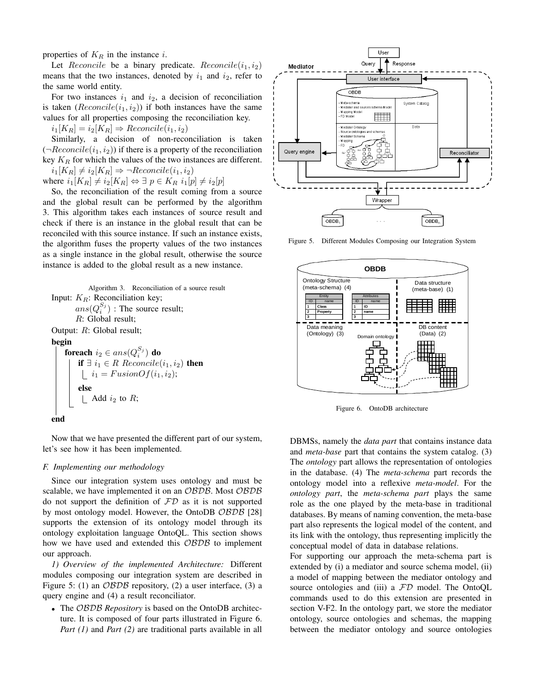properties of *K<sup>R</sup>* in the instance *i*.

Let *Reconcile* be a binary predicate.  $Reconcile(i_1, i_2)$ means that the two instances, denoted by  $i_1$  and  $i_2$ , refer to the same world entity.

For two instances  $i_1$  and  $i_2$ , a decision of reconciliation is taken  $(Reconcile(i_1, i_2))$  if both instances have the same values for all properties composing the reconciliation key.

 $i_1[K_R] = i_2[K_R] \Rightarrow Reconcile(i_1, i_2)$ 

Similarly, a decision of non-reconciliation is taken  $(\neg Reconcile(i_1, i_2))$  if there is a property of the reconciliation key  $K_R$  for which the values of the two instances are different.

 $i_1[K_R] \neq i_2[K_R] \Rightarrow \neg Reconcile(i_1, i_2)$ where  $i_1[K_R] \neq i_2[K_R] \Leftrightarrow \exists p \in K_R$   $i_1[p] \neq i_2[p]$ 

So, the reconciliation of the result coming from a source and the global result can be performed by the algorithm 3. This algorithm takes each instances of source result and check if there is an instance in the global result that can be reconciled with this source instance. If such an instance exists, the algorithm fuses the property values of the two instances as a single instance in the global result, otherwise the source instance is added to the global result as a new instance.



Now that we have presented the different part of our system, let's see how it has been implemented.

# *F. Implementing our methodology*

Since our integration system uses ontology and must be scalable, we have implemented it on an *OBDB*. Most *OBDB* do not support the definition of *FD* as it is not supported by most ontology model. However, the OntoDB *OBDB* [28] supports the extension of its ontology model through its ontology exploitation language OntoQL. This section shows how we have used and extended this *OBDB* to implement our approach.

*1) Overview of the implemented Architecture:* Different modules composing our integration system are described in Figure 5: (1) an *OBDB* repository, (2) a user interface, (3) a query engine and (4) a result reconciliator.

*•* The *OBDB Repository* is based on the OntoDB architecture. It is composed of four parts illustrated in Figure 6. *Part (1)* and *Part (2)* are traditional parts available in all



Figure 5. Different Modules Composing our Integration System



Figure 6. OntoDB architecture

DBMSs, namely the *data part* that contains instance data and *meta-base* part that contains the system catalog. (3) The *ontology* part allows the representation of ontologies in the database. (4) The *meta-schema* part records the ontology model into a reflexive *meta-model*. For the *ontology part*, the *meta-schema part* plays the same role as the one played by the meta-base in traditional databases. By means of naming convention, the meta-base part also represents the logical model of the content, and its link with the ontology, thus representing implicitly the conceptual model of data in database relations.

For supporting our approach the meta-schema part is extended by (i) a mediator and source schema model, (ii) a model of mapping between the mediator ontology and source ontologies and (iii) a *FD* model. The OntoQL commands used to do this extension are presented in section V-F2. In the ontology part, we store the mediator ontology, source ontologies and schemas, the mapping between the mediator ontology and source ontologies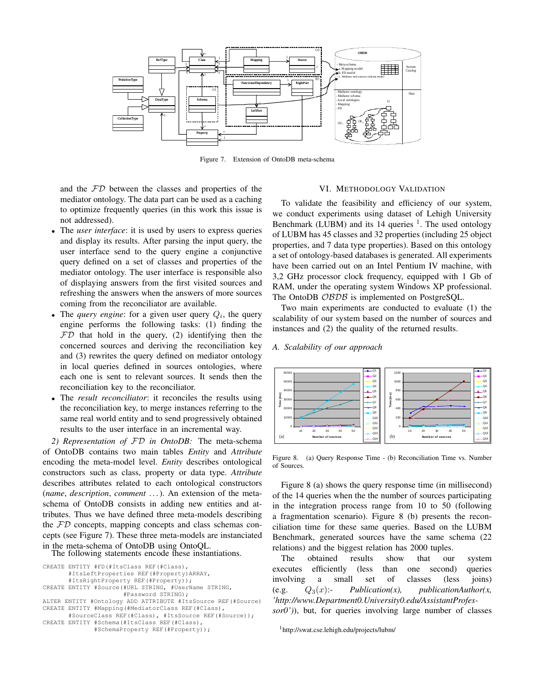

Figure 7. Extension of OntoDB meta-schema

and the *FD* between the classes and properties of the mediator ontology. The data part can be used as a caching to optimize frequently queries (in this work this issue is not addressed).

- The *user interface*: it is used by users to express queries and display its results. After parsing the input query, the user interface send to the query engine a conjunctive query defined on a set of classes and properties of the mediator ontology. The user interface is responsible also of displaying answers from the first visited sources and refreshing the answers when the answers of more sources coming from the reconciliator are available.
- The *query engine*: for a given user query  $Q_i$ , the query engine performs the following tasks: (1) finding the *FD* that hold in the query, (2) identifying then the concerned sources and deriving the reconciliation key and (3) rewrites the query defined on mediator ontology in local queries defined in sources ontologies, where each one is sent to relevant sources. It sends then the reconciliation key to the reconciliator.
- *•* The *result reconciliator*: it reconciles the results using the reconciliation key, to merge instances referring to the same real world entity and to send progressively obtained results to the user interface in an incremental way.

*2) Representation of FD in OntoDB:* The meta-schema of OntoDB contains two main tables *Entity* and *Attribute* encoding the meta-model level. *Entity* describes ontological constructors such as class, property or data type. *Attribute* describes attributes related to each ontological constructors (*name*, *description*, *comment* . . . ). An extension of the metaschema of OntoDB consists in adding new entities and attributes. Thus we have defined three meta-models describing the *FD* concepts, mapping concepts and class schemas concepts (see Figure 7). These three meta-models are instanciated in the meta-schema of OntoDB using OntoQL.

The following statements encode these instantiations.

```
CREATE ENTITY #FD(#ItsClass REF(#Class),
       #ItsLeftProperties REF(#Property)ARRAY,
       #ItsRightProperty REF(#Property));
CREATE ENTITY #Source(#URL STRING, #UserName STRING,
                      #Password STRING);
ALTER ENTITY #Ontology ADD ATTRIBUTE #ItsSource REF(#Source)
CREATE ENTITY #Mapping(#MediatorClass REF(#Class),
       #SourceClass REF(#Class), #ItsSource REF(#Source));
CREATE ENTITY #Schema(#ItsClass REF(#Class),
              #SchemaProperty REF(#Property));
```
## VI. METHODOLOGY VALIDATION

To validate the feasibility and efficiency of our system, we conduct experiments using dataset of Lehigh University Benchmark (LUBM) and its  $14$  queries  $\frac{1}{1}$ . The used ontology of LUBM has 45 classes and 32 properties (including 25 object properties, and 7 data type properties). Based on this ontology a set of ontology-based databases is generated. All experiments have been carried out on an Intel Pentium IV machine, with 3,2 GHz processor clock frequency, equipped with 1 Gb of RAM, under the operating system Windows XP professional. The OntoDB *OBDB* is implemented on PostgreSQL.

Two main experiments are conducted to evaluate (1) the scalability of our system based on the number of sources and instances and (2) the quality of the returned results.

## *A. Scalability of our approach*



Figure 8. (a) Query Response Time - (b) Reconciliation Time vs. Number of Sources.

Figure 8 (a) shows the query response time (in millisecond) of the 14 queries when the the number of sources participating in the integration process range from 10 to 50 (following a fragmentation scenario). Figure 8 (b) presents the reconciliation time for these same queries. Based on the LUBM Benchmark, generated sources have the same schema (22 relations) and the biggest relation has 2000 tuples.

The obtained results show that our system executes efficiently (less than one second) queries involving a small set of classes (less joins)  $(e.g. \tQ_3(x): \tPublication(x), \tpublicationAuthor(x,$ *'http://www.Department0.University0.edu/AssistantProfessor0')*), but, for queries involving large number of classes

<sup>1</sup>http://swat.cse.lehigh.edu/projects/lubm/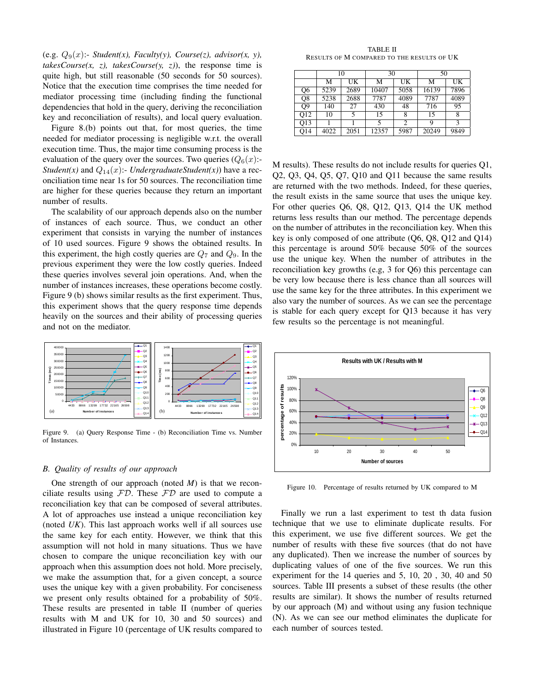(e.g.  $Q_9(x)$ :- *Student(x), Faculty(y), Course(z), advisor(x, y),*  $takesCourse(x, z), takes Course(y, z),$  the response time is quite high, but still reasonable (50 seconds for 50 sources). Notice that the execution time comprises the time needed for mediator processing time (including finding the functional dependencies that hold in the query, deriving the reconciliation key and reconciliation of results), and local query evaluation.

Figure 8.(b) points out that, for most queries, the time needed for mediator processing is negligible w.r.t. the overall execution time. Thus, the major time consuming process is the evaluation of the query over the sources. Two queries  $(Q_6(x))$ :-*Student(x)* and  $Q_{14}(x)$ :- *UndergraduateStudent(x)*) have a reconciliation time near 1s for 50 sources. The reconciliation time are higher for these queries because they return an important number of results.

The scalability of our approach depends also on the number of instances of each source. Thus, we conduct an other experiment that consists in varying the number of instances of 10 used sources. Figure 9 shows the obtained results. In this experiment, the high costly queries are *Q*<sup>7</sup> and *Q*9. In the previous experiment they were the low costly queries. Indeed these queries involves several join operations. And, when the number of instances increases, these operations become costly. Figure 9 (b) shows similar results as the first experiment. Thus, this experiment shows that the query response time depends heavily on the sources and their ability of processing queries and not on the mediator.



Figure 9. (a) Query Response Time - (b) Reconciliation Time vs. Number of Instances.

#### *B. Quality of results of our approach*

One strength of our approach (noted *M*) is that we reconciliate results using *FD*. These *FD* are used to compute a reconciliation key that can be composed of several attributes. A lot of approaches use instead a unique reconciliation key (noted *UK*). This last approach works well if all sources use the same key for each entity. However, we think that this assumption will not hold in many situations. Thus we have chosen to compare the unique reconciliation key with our approach when this assumption does not hold. More precisely, we make the assumption that, for a given concept, a source uses the unique key with a given probability. For conciseness we present only results obtained for a probability of 50%. These results are presented in table II (number of queries results with M and UK for 10, 30 and 50 sources) and illustrated in Figure 10 (percentage of UK results compared to

TABLE II RESULTS OF M COMPARED TO THE RESULTS OF UK

|                 | 10   |      | 30    |      | 50    |      |
|-----------------|------|------|-------|------|-------|------|
|                 | М    | UK   | М     | UK   | М     | UK   |
| Q6              | 5239 | 2689 | 10407 | 5058 | 16139 | 7896 |
| O <sub>8</sub>  | 5238 | 2688 | 7787  | 4089 | 7787  | 4089 |
| O <sub>9</sub>  | 140  | 27   | 430   | 48   | 716   | 95   |
| O <sub>12</sub> | 10   | 5    | 15    | 8    | 15    | 8    |
| Q13             |      |      | 5     | 2    | 9     | 3    |
| Q14             | 4022 | 2051 | 12357 | 5987 | 20249 | 9849 |

M results). These results do not include results for queries Q1, Q2, Q3, Q4, Q5, Q7, Q10 and Q11 because the same results are returned with the two methods. Indeed, for these queries, the result exists in the same source that uses the unique key. For other queries Q6, Q8, Q12, Q13, Q14 the UK method returns less results than our method. The percentage depends on the number of attributes in the reconciliation key. When this key is only composed of one attribute (Q6, Q8, Q12 and Q14) this percentage is around 50% because 50% of the sources use the unique key. When the number of attributes in the reconciliation key growths (e.g, 3 for Q6) this percentage can be very low because there is less chance than all sources will use the same key for the three attributes. In this experiment we also vary the number of sources. As we can see the percentage is stable for each query except for Q13 because it has very few results so the percentage is not meaningful.



Figure 10. Percentage of results returned by UK compared to M

Finally we run a last experiment to test th data fusion technique that we use to eliminate duplicate results. For this experiment, we use five different sources. We get the number of results with these five sources (that do not have any duplicated). Then we increase the number of sources by duplicating values of one of the five sources. We run this experiment for the 14 queries and 5, 10, 20 , 30, 40 and 50 sources. Table III presents a subset of these results (the other results are similar). It shows the number of results returned by our approach (M) and without using any fusion technique (N). As we can see our method eliminates the duplicate for each number of sources tested.